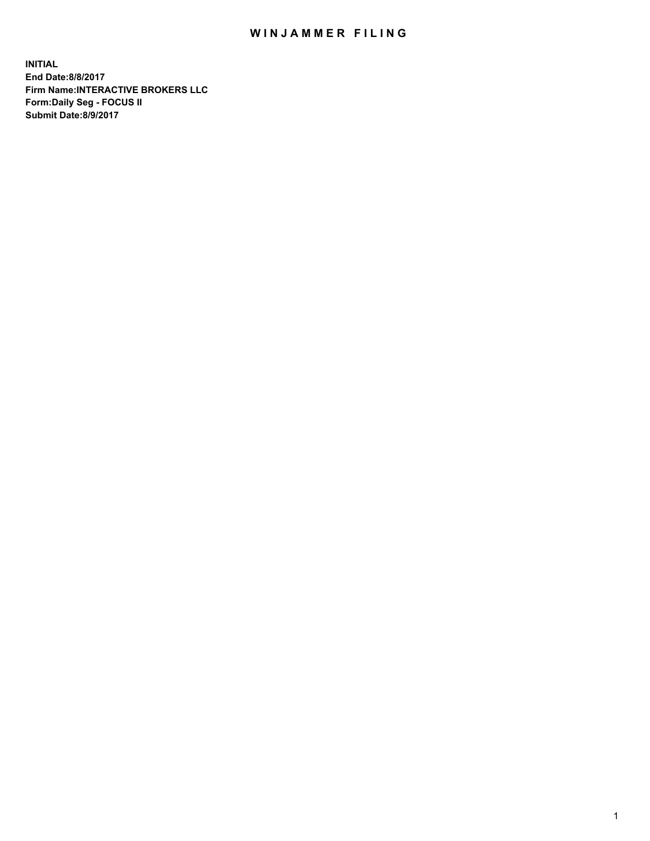## WIN JAMMER FILING

**INITIAL End Date:8/8/2017 Firm Name:INTERACTIVE BROKERS LLC Form:Daily Seg - FOCUS II Submit Date:8/9/2017**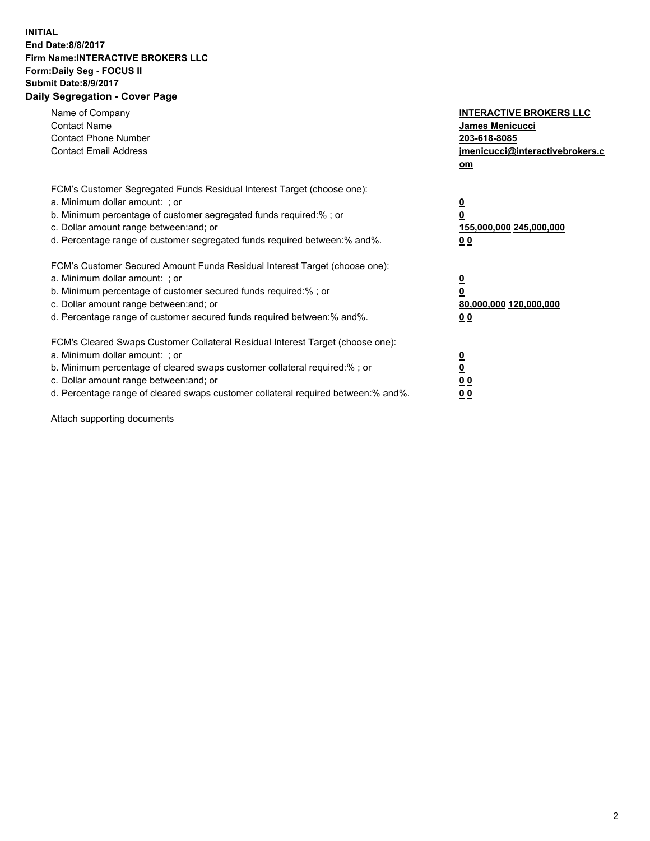## **INITIAL End Date:8/8/2017 Firm Name:INTERACTIVE BROKERS LLC Form:Daily Seg - FOCUS II Submit Date:8/9/2017 Daily Segregation - Cover Page**

| Name of Company<br><b>Contact Name</b><br><b>Contact Phone Number</b><br><b>Contact Email Address</b>                                                                                                                                                                                                                          | <b>INTERACTIVE BROKERS LLC</b><br>James Menicucci<br>203-618-8085<br>jmenicucci@interactivebrokers.c<br>om |
|--------------------------------------------------------------------------------------------------------------------------------------------------------------------------------------------------------------------------------------------------------------------------------------------------------------------------------|------------------------------------------------------------------------------------------------------------|
| FCM's Customer Segregated Funds Residual Interest Target (choose one):<br>a. Minimum dollar amount: ; or<br>b. Minimum percentage of customer segregated funds required:% ; or<br>c. Dollar amount range between: and; or<br>d. Percentage range of customer segregated funds required between:% and%.                         | $\overline{\mathbf{0}}$<br>0<br>155,000,000 245,000,000<br>0 <sub>0</sub>                                  |
| FCM's Customer Secured Amount Funds Residual Interest Target (choose one):<br>a. Minimum dollar amount: ; or<br>b. Minimum percentage of customer secured funds required:%; or<br>c. Dollar amount range between: and; or<br>d. Percentage range of customer secured funds required between: % and %.                          | $\overline{\mathbf{0}}$<br>0<br>80,000,000 120,000,000<br>0 <sub>0</sub>                                   |
| FCM's Cleared Swaps Customer Collateral Residual Interest Target (choose one):<br>a. Minimum dollar amount: ; or<br>b. Minimum percentage of cleared swaps customer collateral required:% ; or<br>c. Dollar amount range between: and; or<br>d. Percentage range of cleared swaps customer collateral required between:% and%. | $\overline{\mathbf{0}}$<br>$\overline{\mathbf{0}}$<br>0 <sub>0</sub><br>0 <sub>0</sub>                     |

Attach supporting documents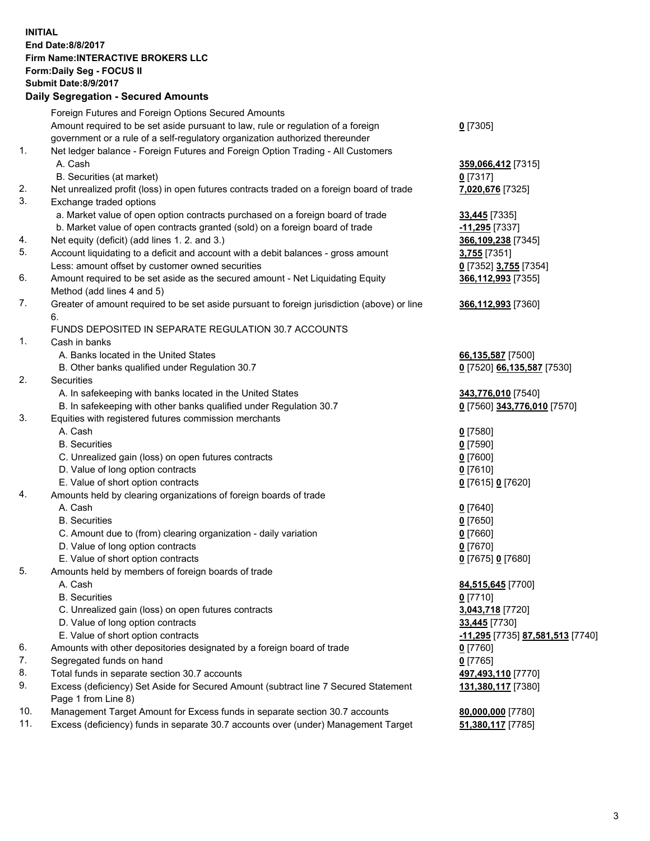## **INITIAL End Date:8/8/2017 Firm Name:INTERACTIVE BROKERS LLC Form:Daily Seg - FOCUS II Submit Date:8/9/2017 Daily Segregation - Secured Amounts**

|     | Foreign Futures and Foreign Options Secured Amounts                                         |                                  |
|-----|---------------------------------------------------------------------------------------------|----------------------------------|
|     | Amount required to be set aside pursuant to law, rule or regulation of a foreign            | $0$ [7305]                       |
|     | government or a rule of a self-regulatory organization authorized thereunder                |                                  |
| 1.  | Net ledger balance - Foreign Futures and Foreign Option Trading - All Customers             |                                  |
|     | A. Cash                                                                                     | 359,066,412 [7315]               |
|     | B. Securities (at market)                                                                   | 0 [7317]                         |
| 2.  | Net unrealized profit (loss) in open futures contracts traded on a foreign board of trade   | 7,020,676 [7325]                 |
| 3.  | Exchange traded options                                                                     |                                  |
|     | a. Market value of open option contracts purchased on a foreign board of trade              | <b>33,445</b> [7335]             |
|     | b. Market value of open contracts granted (sold) on a foreign board of trade                | -11,295 [7337]                   |
| 4.  | Net equity (deficit) (add lines 1.2. and 3.)                                                | 366,109,238 [7345]               |
| 5.  | Account liquidating to a deficit and account with a debit balances - gross amount           | 3,755 [7351]                     |
|     | Less: amount offset by customer owned securities                                            | 0 [7352] 3,755 [7354]            |
| 6.  | Amount required to be set aside as the secured amount - Net Liquidating Equity              | 366,112,993 [7355]               |
|     | Method (add lines 4 and 5)                                                                  |                                  |
| 7.  | Greater of amount required to be set aside pursuant to foreign jurisdiction (above) or line | 366,112,993 [7360]               |
|     | 6.                                                                                          |                                  |
|     | FUNDS DEPOSITED IN SEPARATE REGULATION 30.7 ACCOUNTS                                        |                                  |
| 1.  | Cash in banks                                                                               |                                  |
|     | A. Banks located in the United States                                                       | 66,135,587 [7500]                |
|     | B. Other banks qualified under Regulation 30.7                                              | 0 [7520] 66,135,587 [7530]       |
| 2.  | Securities                                                                                  |                                  |
|     | A. In safekeeping with banks located in the United States                                   | 343,776,010 [7540]               |
|     | B. In safekeeping with other banks qualified under Regulation 30.7                          | 0 [7560] 343,776,010 [7570]      |
| 3.  | Equities with registered futures commission merchants                                       |                                  |
|     | A. Cash                                                                                     | $0$ [7580]                       |
|     | <b>B.</b> Securities                                                                        | $0$ [7590]                       |
|     | C. Unrealized gain (loss) on open futures contracts                                         | $0$ [7600]                       |
|     | D. Value of long option contracts                                                           | $0$ [7610]                       |
|     | E. Value of short option contracts                                                          | 0 [7615] 0 [7620]                |
| 4.  | Amounts held by clearing organizations of foreign boards of trade                           |                                  |
|     | A. Cash                                                                                     | $0$ [7640]                       |
|     | <b>B.</b> Securities                                                                        | $0$ [7650]                       |
|     | C. Amount due to (from) clearing organization - daily variation                             | $0$ [7660]                       |
|     | D. Value of long option contracts                                                           | $0$ [7670]                       |
|     | E. Value of short option contracts                                                          | 0 [7675] 0 [7680]                |
| 5.  | Amounts held by members of foreign boards of trade                                          |                                  |
|     | A. Cash                                                                                     | 84,515,645 [7700]                |
|     | <b>B.</b> Securities                                                                        | $0$ [7710]                       |
|     | C. Unrealized gain (loss) on open futures contracts                                         | 3,043,718 [7720]                 |
|     | D. Value of long option contracts                                                           | 33,445 [7730]                    |
|     | E. Value of short option contracts                                                          | -11,295 [7735] 87,581,513 [7740] |
| 6.  | Amounts with other depositories designated by a foreign board of trade                      | 0 [7760]                         |
| 7.  | Segregated funds on hand                                                                    | $0$ [7765]                       |
| 8.  | Total funds in separate section 30.7 accounts                                               | 497,493,110 [7770]               |
| 9.  | Excess (deficiency) Set Aside for Secured Amount (subtract line 7 Secured Statement         | 131,380,117 [7380]               |
|     | Page 1 from Line 8)                                                                         |                                  |
| 10. | Management Target Amount for Excess funds in separate section 30.7 accounts                 | 80,000,000 [7780]                |
| 11. | Excess (deficiency) funds in separate 30.7 accounts over (under) Management Target          | 51,380,117 [7785]                |
|     |                                                                                             |                                  |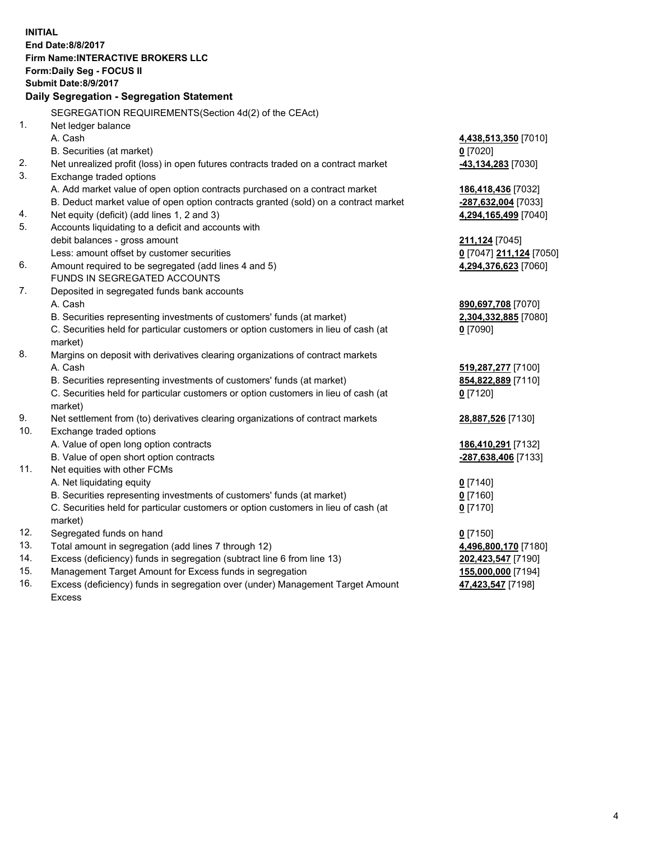**INITIAL End Date:8/8/2017 Firm Name:INTERACTIVE BROKERS LLC Form:Daily Seg - FOCUS II Submit Date:8/9/2017 Daily Segregation - Segregation Statement** SEGREGATION REQUIREMENTS(Section 4d(2) of the CEAct) 1. Net ledger balance A. Cash **4,438,513,350** [7010] B. Securities (at market) **0** [7020] 2. Net unrealized profit (loss) in open futures contracts traded on a contract market **-43,134,283** [7030] 3. Exchange traded options A. Add market value of open option contracts purchased on a contract market **186,418,436** [7032] B. Deduct market value of open option contracts granted (sold) on a contract market **-287,632,004** [7033] 4. Net equity (deficit) (add lines 1, 2 and 3) **4,294,165,499** [7040] 5. Accounts liquidating to a deficit and accounts with debit balances - gross amount **211,124** [7045] Less: amount offset by customer securities **0** [7047] **211,124** [7050] 6. Amount required to be segregated (add lines 4 and 5) **4,294,376,623** [7060] FUNDS IN SEGREGATED ACCOUNTS 7. Deposited in segregated funds bank accounts A. Cash **890,697,708** [7070] B. Securities representing investments of customers' funds (at market) **2,304,332,885** [7080] C. Securities held for particular customers or option customers in lieu of cash (at market) **0** [7090] 8. Margins on deposit with derivatives clearing organizations of contract markets A. Cash **519,287,277** [7100] B. Securities representing investments of customers' funds (at market) **854,822,889** [7110] C. Securities held for particular customers or option customers in lieu of cash (at market) **0** [7120] 9. Net settlement from (to) derivatives clearing organizations of contract markets **28,887,526** [7130] 10. Exchange traded options A. Value of open long option contracts **186,410,291** [7132] B. Value of open short option contracts **-287,638,406** [7133] 11. Net equities with other FCMs A. Net liquidating equity **0** [7140] B. Securities representing investments of customers' funds (at market) **0** [7160] C. Securities held for particular customers or option customers in lieu of cash (at market) **0** [7170] 12. Segregated funds on hand **0** [7150] 13. Total amount in segregation (add lines 7 through 12) **4,496,800,170** [7180] 14. Excess (deficiency) funds in segregation (subtract line 6 from line 13) **202,423,547** [7190] 15. Management Target Amount for Excess funds in segregation **155,000,000** [7194] 16. Excess (deficiency) funds in segregation over (under) Management Target Amount **47,423,547** [7198]

Excess